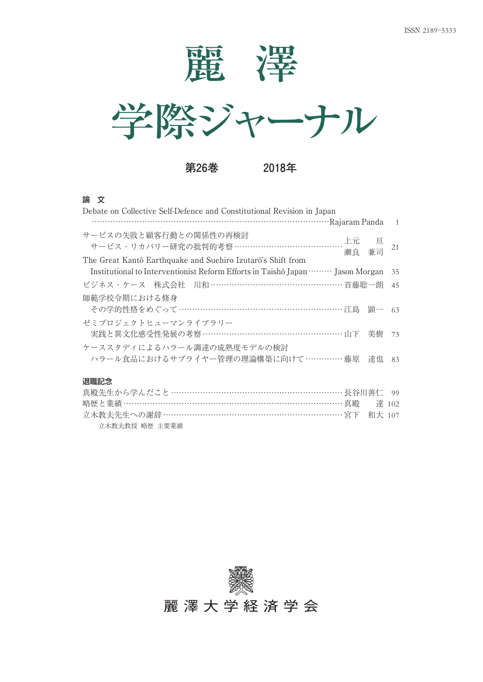



**第26巻 2018年**

#### 論 文 ㌀㌀㌀㌀㌀㌀㌀㌀㌀㌀㌀㌀㌀㌀㌀㌀㌀㌀㌀㌀㌀㌀㌀㌀㌀㌀㌀㌀㌀㌀㌀㌀㌀㌀㌀㌀㌀㌀㌀㌀㌀㌀㌀㌀㌀㌀㌀㌀㌀㌀㌀㌀㌀㌀㌀㌀㌀㌀㌀㌀㌀㌀㌀㌀㌀㌀㌀㌀㌀㌀㌀㌀㌀㌀㌀㌀㌀㌀㌀㌀㌀㌀㌀㌀㌀㌀㌀㌀㌀㌀

立木教夫教授 略歴 主要業績

| Debate on Collective Self-Defence and Constitutional Revision in Japan                                                                    |    |
|-------------------------------------------------------------------------------------------------------------------------------------------|----|
|                                                                                                                                           |    |
| サービスの失敗と顧客行動との関係性の再検討<br>サービス・リカバリー研究の批判的考察 …………………………………………上元  亘<br>瀨良 兼司<br>The Great Kantō Earthquake and Suehiro Izutarō's Shift from | 21 |
| Institutional to Interventionist Reform Efforts in Taishō Japan  Jason Morgan 35                                                          |    |
| ビジネス・ケース 株式会社 川和 ……………………………………………首藤聡一朗                                                                                                   | 45 |
| 師範学校令期における修身<br>その学的性格をめぐって ……………………………………………………… 江島 顕一                                                                                   | 63 |
| ゼミプロジェクトヒューマンライブラリー<br>実践と異文化感受性発展の考察 ……………………………………………… 山下 美樹 73                                                                         |    |
| ケーススタディによるハラール調達の成熟度モデルの検討                                                                                                                |    |
| ハラール食品におけるサプライヤー管理の理論構築に向けて……………藤原 達也                                                                                                     | 83 |
| 退職記念                                                                                                                                      |    |
|                                                                                                                                           |    |
| 略歴と業績 ……………………………………………………………………… 真殿 – 達 102                                                                                              |    |
| 立木教夫先生への謝辞 …………………………………………………………… 宮下 和大 107                                                                                              |    |